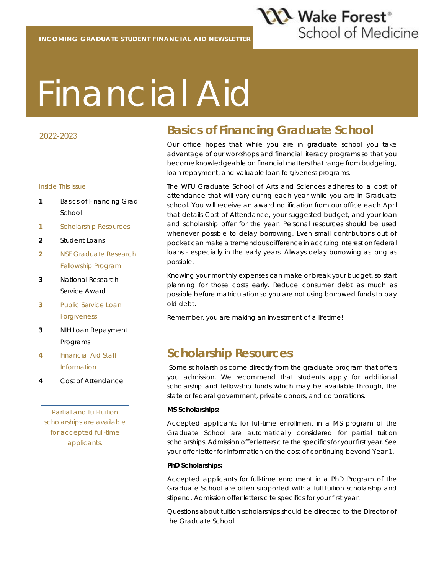

# Financial Aid

#### 2022-2023

#### Inside This Issue

- **1** Basics of Financing Grad School
- **1** Scholarship Resources
- **2** Student Loans
- **2** NSF Graduate Research Fellowship Program
- **3** National Research Service Award
- **3** Public Service Loan Forgiveness
- **3** NIH Loan Repayment Programs
- **4** Financial Aid Staff Information
- **4** Cost of Attendance

*Partial and full-tuition scholarships are available for accepted full-time applicants.*

## **Basics of Financing Graduate School**

Our office hopes that while you are in graduate school you take advantage of our workshops and financial literacy programs so that you become knowledgeable on financial matters that range from budgeting, loan repayment, and valuable loan forgiveness programs.

The WFU Graduate School of Arts and Sciences adheres to a cost of attendance that will vary during each year while you are in Graduate school. You will receive an award notification from our office each April that details Cost of Attendance, your suggested budget, and your loan and scholarship offer for the year. Personal resources should be used whenever possible to delay borrowing. Even small contributions out of pocket can make a tremendous difference in accruing interest on federal loans - especially in the early years. Always delay borrowing as long as possible.

Knowing your monthly expenses can make or break your budget, so start planning for those costs early. Reduce consumer debt as much as possible before matriculation so you are not using borrowed funds to pay old debt.

Remember, you are making an investment of a lifetime!

## **Scholarship Resources**

 Some scholarships come directly from the graduate program that offers you admission. We recommend that students apply for additional scholarship and fellowship funds which may be available through, the state or federal government, private donors, and corporations.

#### **MS Scholarships:**

Accepted applicants for full-time enrollment in a MS program of the Graduate School are automatically considered for partial tuition scholarships. Admission offer letters cite the specifics for your first year. See your offer letter for information on the cost of continuing beyond Year 1.

#### **PhD Scholarships:**

Accepted applicants for full-time enrollment in a PhD Program of the Graduate School are often supported with a full tuition scholarship and stipend. Admission offer letters cite specifics for your first year.

Questions about tuition scholarships should be directed to the Director of the Graduate School.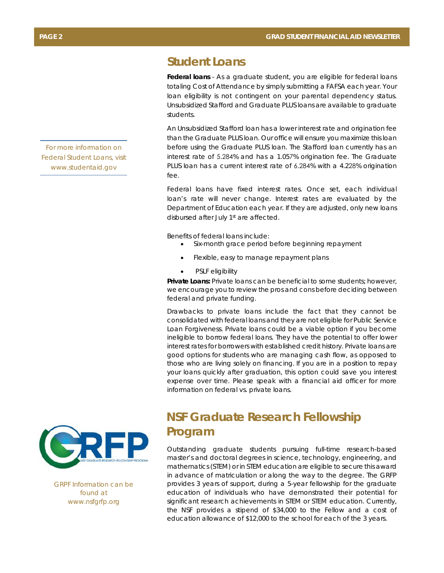## **Student Loans**

**Federal loans** - As a graduate student, you are eligible for federal loans totaling Cost of Attendance by simply submitting a FAFSA each year. Your loan eligibility is not contingent on your parental dependency status. Unsubsidized Stafford and Graduate PLUS loans are available to graduate students.

An Unsubsidized Stafford loan has a lower interest rate and origination fee than the Graduate PLUS loan. Our office will ensure you maximize this loan before using the Graduate PLUS loan. The Stafford loan currently has an interest rate of 5.284% and has a 1.057% origination fee. The Graduate PLUS loan has a current interest rate of 6.284% with a 4.228% origination fee.

Federal loans have fixed interest rates. Once set, each individual loan's rate will never change. Interest rates are evaluated by the Department of Education each year. If they are adjusted, only new loans disbursed after July 1<sup>st</sup> are affected.

Benefits of federal loans include:

- Six-month grace period before beginning repayment
- Flexible, easy to manage repayment plans
- PSLF eligibility

**Private Loans:** Private loans can be beneficial to some students; however, we encourage you to review the pros and cons before deciding between federal and private funding.

Drawbacks to private loans include the fact that they cannot be consolidated with federal loans and they are not eligible for Public Service Loan Forgiveness. Private loans could be a viable option if you become ineligible to borrow federal loans. They have the potential to offer lower interest rates for borrowers with established credit history. Private loans are good options for students who are managing cash flow, as opposed to those who are living solely on financing. If you are in a position to repay your loans quickly after graduation, this option could save you interest expense over time. Please speak with a financial aid officer for more information on federal vs. private loans.

# **NSF Graduate Research Fellowship Program**

Outstanding graduate students pursuing full-time research-based master's and doctoral degrees in science, technology, engineering, and mathematics (STEM) or in STEM education are eligible to secure this award in advance of matriculation or along the way to the degree. The GRFP provides 3 years of support, during a 5-year fellowship for the graduate education of individuals who have demonstrated their potential for significant research achievements in STEM or STEM education. Currently, the NSF provides a stipend of \$34,000 to the Fellow and a cost of education allowance of \$12,000 to the school for each of the 3 years.

*For more information on Federal Student Loans, visit www.studentaid.gov* 



*GRPF Information can be found at www.nsfgrfp.org*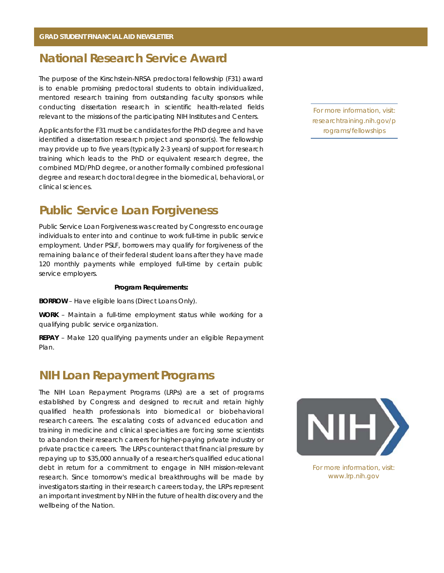## **National Research Service Award**

The purpose of the Kirschstein-NRSA predoctoral fellowship (F31) award is to enable promising predoctoral students to obtain individualized, mentored research training from outstanding faculty sponsors while conducting dissertation research in scientific health-related fields relevant to the missions of the participating NIH Institutes and Centers.

Applicants for the F31 must be candidates for the PhD degree and have identified a dissertation research project and sponsor(s). The fellowship may provide up to five years (typically 2-3 years) of support for research training which leads to the PhD or equivalent research degree, the combined MD/PhD degree, or another formally combined professional degree and research doctoral degree in the biomedical, behavioral, or clinical sciences.

## **Public Service Loan Forgiveness**

Public Service Loan Forgiveness was created by Congress to encourage individuals to enter into and continue to work full-time in public service employment. Under PSLF, borrowers may qualify for forgiveness of the remaining balance of their federal student loans after they have made 120 monthly payments while employed full-time by certain public service employers.

#### **Program Requirements:**

**BORROW** – Have eligible loans (Direct Loans Only).

**WORK** – Maintain a full-time employment status while working for a qualifying public service organization.

**REPAY** – Make 120 qualifying payments under an eligible Repayment Plan.

## **NIH Loan Repayment Programs**

The NIH Loan Repayment Programs (LRPs) are a set of programs established by Congress and designed to recruit and retain highly qualified health professionals into biomedical or biobehavioral research careers. The escalating costs of advanced education and training in medicine and clinical specialties are forcing some scientists to abandon their research careers for higher-paying private industry or private practice careers. The LRPs counteract that financial pressure by repaying up to \$35,000 annually of a researcher's qualified educational debt in return for a commitment to engage in NIH mission-relevant research. Since tomorrow's medical breakthroughs will be made by investigators starting in their research careers today, the LRPs represent an important investment by NIH in the future of health discovery and the wellbeing of the Nation.

*For more information, visit: researchtraining.nih.gov/p rograms/fellowships* 



*For more information, visit: www.lrp.nih.gov*